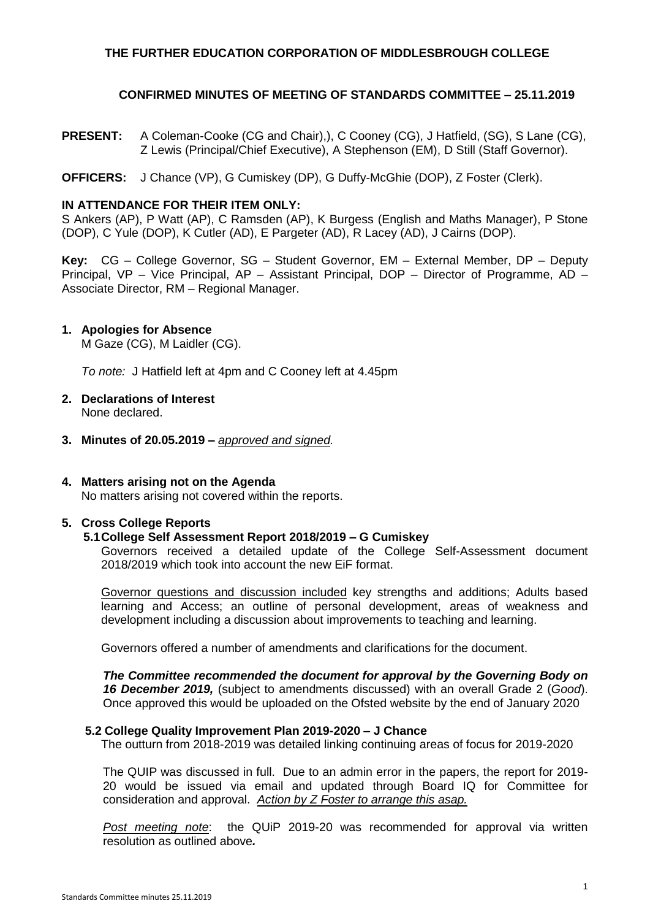# **THE FURTHER EDUCATION CORPORATION OF MIDDLESBROUGH COLLEGE**

# **CONFIRMED MINUTES OF MEETING OF STANDARDS COMMITTEE – 25.11.2019**

**PRESENT:** A Coleman-Cooke (CG and Chair),), C Cooney (CG), J Hatfield, (SG), S Lane (CG), Z Lewis (Principal/Chief Executive), A Stephenson (EM), D Still (Staff Governor).

**OFFICERS:** J Chance (VP), G Cumiskey (DP), G Duffy-McGhie (DOP), Z Foster (Clerk).

# **IN ATTENDANCE FOR THEIR ITEM ONLY:**

S Ankers (AP), P Watt (AP), C Ramsden (AP), K Burgess (English and Maths Manager), P Stone (DOP), C Yule (DOP), K Cutler (AD), E Pargeter (AD), R Lacey (AD), J Cairns (DOP).

**Key:** CG – College Governor, SG – Student Governor, EM – External Member, DP – Deputy Principal, VP – Vice Principal, AP – Assistant Principal, DOP – Director of Programme, AD – Associate Director, RM – Regional Manager.

# **1. Apologies for Absence**

M Gaze (CG), M Laidler (CG).

*To note:* J Hatfield left at 4pm and C Cooney left at 4.45pm

- **2. Declarations of Interest** None declared.
- **3. Minutes of 20.05.2019 –** *approved and signed.*

# **4. Matters arising not on the Agenda**

No matters arising not covered within the reports.

# **5. Cross College Reports**

# **5.1College Self Assessment Report 2018/2019 – G Cumiskey**

Governors received a detailed update of the College Self-Assessment document 2018/2019 which took into account the new EiF format.

Governor questions and discussion included key strengths and additions; Adults based learning and Access; an outline of personal development, areas of weakness and development including a discussion about improvements to teaching and learning.

Governors offered a number of amendments and clarifications for the document.

*The Committee recommended the document for approval by the Governing Body on 16 December 2019,* (subject to amendments discussed) with an overall Grade 2 (*Good*). Once approved this would be uploaded on the Ofsted website by the end of January 2020

## **5.2 College Quality Improvement Plan 2019-2020 – J Chance**

The outturn from 2018-2019 was detailed linking continuing areas of focus for 2019-2020

The QUIP was discussed in full. Due to an admin error in the papers, the report for 2019- 20 would be issued via email and updated through Board IQ for Committee for consideration and approval. *Action by Z Foster to arrange this asap.*

*Post meeting note*: the QUiP 2019-20 was recommended for approval via written resolution as outlined above*.*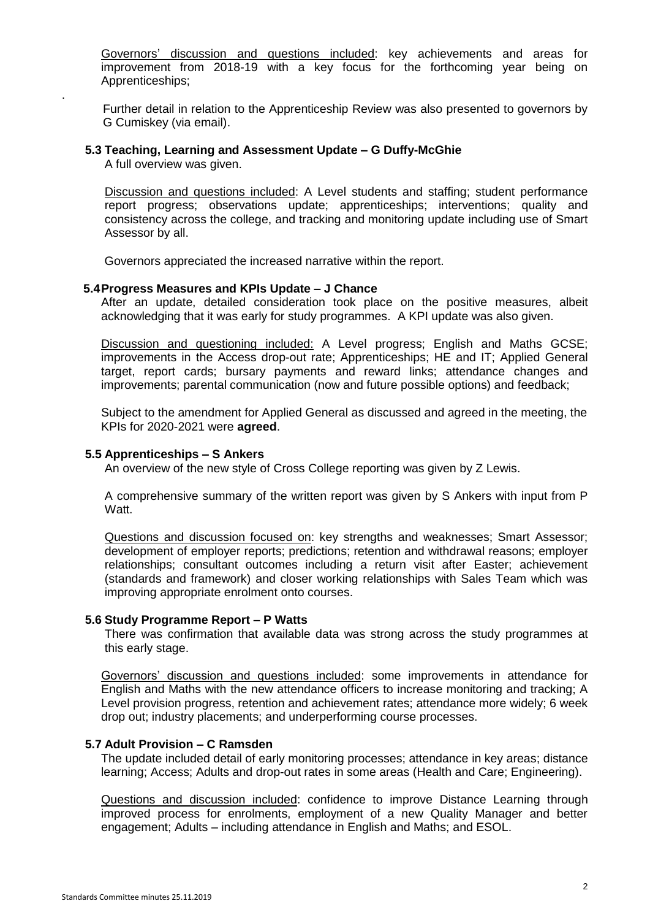Governors' discussion and questions included: key achievements and areas for improvement from 2018-19 with a key focus for the forthcoming year being on Apprenticeships;

Further detail in relation to the Apprenticeship Review was also presented to governors by G Cumiskey (via email).

# **5.3 Teaching, Learning and Assessment Update – G Duffy-McGhie**

A full overview was given.

.

Discussion and questions included: A Level students and staffing; student performance report progress; observations update; apprenticeships; interventions; quality and consistency across the college, and tracking and monitoring update including use of Smart Assessor by all.

Governors appreciated the increased narrative within the report.

## **5.4Progress Measures and KPIs Update – J Chance**

After an update, detailed consideration took place on the positive measures, albeit acknowledging that it was early for study programmes. A KPI update was also given.

Discussion and questioning included: A Level progress; English and Maths GCSE; improvements in the Access drop-out rate; Apprenticeships; HE and IT; Applied General target, report cards; bursary payments and reward links; attendance changes and improvements; parental communication (now and future possible options) and feedback;

Subject to the amendment for Applied General as discussed and agreed in the meeting, the KPIs for 2020-2021 were **agreed**.

# **5.5 Apprenticeships – S Ankers**

An overview of the new style of Cross College reporting was given by Z Lewis.

A comprehensive summary of the written report was given by S Ankers with input from P Watt.

Questions and discussion focused on: key strengths and weaknesses; Smart Assessor; development of employer reports; predictions; retention and withdrawal reasons; employer relationships; consultant outcomes including a return visit after Easter; achievement (standards and framework) and closer working relationships with Sales Team which was improving appropriate enrolment onto courses.

## **5.6 Study Programme Report – P Watts**

There was confirmation that available data was strong across the study programmes at this early stage.

Governors' discussion and questions included: some improvements in attendance for English and Maths with the new attendance officers to increase monitoring and tracking; A Level provision progress, retention and achievement rates; attendance more widely; 6 week drop out; industry placements; and underperforming course processes.

## **5.7 Adult Provision – C Ramsden**

The update included detail of early monitoring processes; attendance in key areas; distance learning; Access; Adults and drop-out rates in some areas (Health and Care; Engineering).

Questions and discussion included: confidence to improve Distance Learning through improved process for enrolments, employment of a new Quality Manager and better engagement; Adults – including attendance in English and Maths; and ESOL.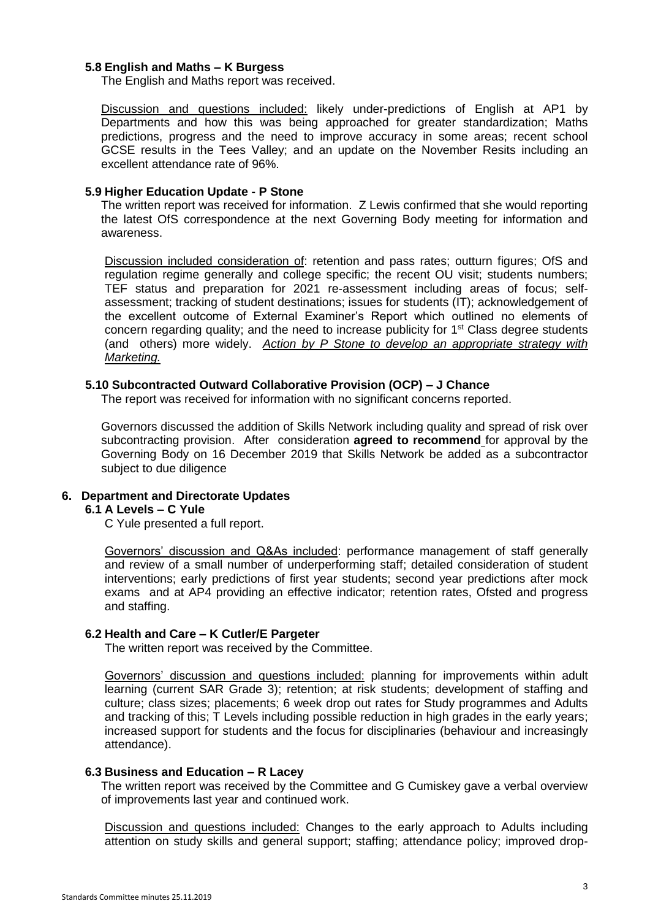# **5.8 English and Maths – K Burgess**

The English and Maths report was received.

Discussion and questions included: likely under-predictions of English at AP1 by Departments and how this was being approached for greater standardization; Maths predictions, progress and the need to improve accuracy in some areas; recent school GCSE results in the Tees Valley; and an update on the November Resits including an excellent attendance rate of 96%.

## **5.9 Higher Education Update - P Stone**

The written report was received for information. Z Lewis confirmed that she would reporting the latest OfS correspondence at the next Governing Body meeting for information and awareness.

Discussion included consideration of: retention and pass rates; outturn figures; OfS and regulation regime generally and college specific; the recent OU visit; students numbers; TEF status and preparation for 2021 re-assessment including areas of focus; selfassessment; tracking of student destinations; issues for students (IT); acknowledgement of the excellent outcome of External Examiner's Report which outlined no elements of concern regarding quality; and the need to increase publicity for 1<sup>st</sup> Class degree students (and others) more widely. *Action by P Stone to develop an appropriate strategy with Marketing.*

## **5.10 Subcontracted Outward Collaborative Provision (OCP) – J Chance**

The report was received for information with no significant concerns reported.

Governors discussed the addition of Skills Network including quality and spread of risk over subcontracting provision. After consideration **agreed to recommend** for approval by the Governing Body on 16 December 2019 that Skills Network be added as a subcontractor subject to due diligence

# **6. Department and Directorate Updates**

# **6.1 A Levels – C Yule**

C Yule presented a full report.

Governors' discussion and Q&As included: performance management of staff generally and review of a small number of underperforming staff; detailed consideration of student interventions; early predictions of first year students; second year predictions after mock exams and at AP4 providing an effective indicator; retention rates, Ofsted and progress and staffing.

## **6.2 Health and Care – K Cutler/E Pargeter**

The written report was received by the Committee.

Governors' discussion and questions included: planning for improvements within adult learning (current SAR Grade 3); retention; at risk students; development of staffing and culture; class sizes; placements; 6 week drop out rates for Study programmes and Adults and tracking of this; T Levels including possible reduction in high grades in the early years; increased support for students and the focus for disciplinaries (behaviour and increasingly attendance).

## **6.3 Business and Education – R Lacey**

The written report was received by the Committee and G Cumiskey gave a verbal overview of improvements last year and continued work.

Discussion and questions included: Changes to the early approach to Adults including attention on study skills and general support; staffing; attendance policy; improved drop